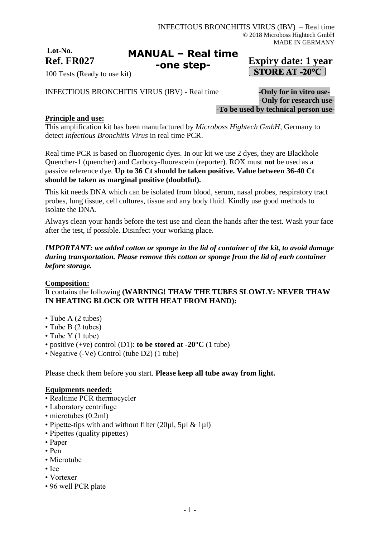**Lot-No.**

#### **Ref. FR027 Expiry date: 1 year MANUAL – Real time -one step-**

# **STORE AT -20°C**

100 Tests (Ready to use kit)

INFECTIOUS BRONCHITIS VIRUS (IBV) - Real time **-Only for in vitro use-**

-**Only for research use-** -**To be used by technical person use-**

# **Principle and use:**

This amplification kit has been manufactured by *Microboss Hightech GmbH*, Germany to detect *Infectious Bronchitis Virus* in real time PCR.

Real time PCR is based on fluorogenic dyes. In our kit we use 2 dyes, they are Blackhole Quencher-1 (quencher) and Carboxy-fluorescein (reporter). ROX must **not** be used as a passive reference dye. **Up to 36 Ct should be taken positive. Value between 36-40 Ct should be taken as marginal positive (doubtful).**

This kit needs DNA which can be isolated from blood, serum, nasal probes, respiratory tract probes, lung tissue, cell cultures, tissue and any body fluid. Kindly use good methods to isolate the DNA.

Always clean your hands before the test use and clean the hands after the test. Wash your face after the test, if possible. Disinfect your working place.

# *IMPORTANT: we added cotton or sponge in the lid of container of the kit, to avoid damage during transportation. Please remove this cotton or sponge from the lid of each container before storage.*

# **Composition:**

# It contains the following **(WARNING! THAW THE TUBES SLOWLY: NEVER THAW IN HEATING BLOCK OR WITH HEAT FROM HAND):**

- Tube A (2 tubes)
- Tube B (2 tubes)
- Tube Y (1 tube)
- positive (+ve) control (D1): **to be stored at -20°C** (1 tube)
- Negative (-Ve) Control (tube D2) (1 tube)

Please check them before you start. **Please keep all tube away from light.**

### **Equipments needed:**

- Realtime PCR thermocycler
- Laboratory centrifuge
- microtubes (0.2ml)
- Pipette-tips with and without filter (20µl, 5µl & 1µl)
- Pipettes (quality pipettes)
- Paper
- Pen
- Microtube
- Ice
- Vortexer
- 96 well PCR plate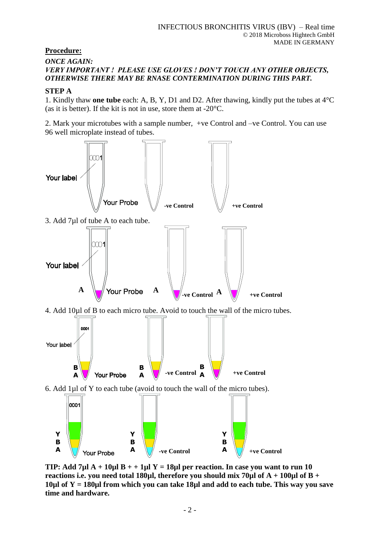# **Procedure:**

## *ONCE AGAIN: VERY IMPORTANT ! PLEASE USE GLOVES ! DON'T TOUCH ANY OTHER OBJECTS, OTHERWISE THERE MAY BE RNASE CONTERMINATION DURING THIS PART.*

# **STEP A**

1. Kindly thaw **one tube** each: A, B, Y, D1 and D2. After thawing, kindly put the tubes at 4°C (as it is better). If the kit is not in use, store them at -20°C.

2. Mark your microtubes with a sample number, +ve Control and –ve Control. You can use 96 well microplate instead of tubes.



**TIP: Add 7µl A + 10µl B + + 1µl Y = 18µl per reaction. In case you want to run 10 reactions i.e. you need total 180µl, therefore you should mix 70µl of A + 100µl of B + 10µl of Y = 180µl from which you can take 18µl and add to each tube. This way you save time and hardware.**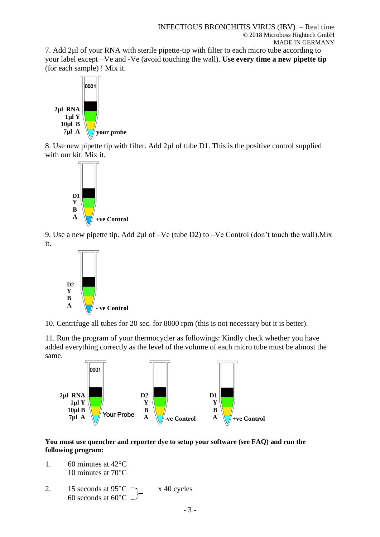7. Add 2µl of your RNA with sterile pipette-tip with filter to each micro tube according to your label except +Ve and -Ve (avoid touching the wall). **Use every time a new pipette tip** (for each sample) ! Mix it.



8. Use new pipette tip with filter. Add 2µl of tube D1. This is the positive control supplied with our kit. Mix it.



9. Use a new pipette tip. Add 2µl of –Ve (tube D2) to –Ve Control (don't touch the wall).Mix it.



10. Centrifuge all tubes for 20 sec. for 8000 rpm (this is not necessary but it is better).

11. Run the program of your thermocycler as followings: Kindly check whether you have added everything correctly as the level of the volume of each micro tube must be almost the same.



**You must use quencher and reporter dye to setup your software (see FAQ) and run the following program:**

- 1. 60 minutes at  $42^{\circ}$ C 10 minutes at 70°C
- 2. 15 seconds at  $95^{\circ}$ C  $\rightarrow x$  40 cycles 60 seconds at  $60^{\circ}$ C -